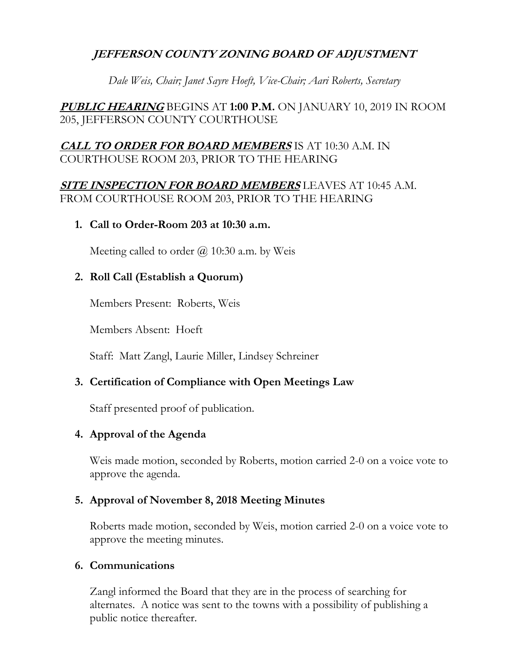# **JEFFERSON COUNTY ZONING BOARD OF ADJUSTMENT**

*Dale Weis, Chair; Janet Sayre Hoeft, Vice-Chair; Aari Roberts, Secretary* 

**PUBLIC HEARING** BEGINS AT **1:00 P.M.** ON JANUARY 10, 2019 IN ROOM 205, JEFFERSON COUNTY COURTHOUSE

# **CALL TO ORDER FOR BOARD MEMBERS** IS AT 10:30 A.M. IN COURTHOUSE ROOM 203, PRIOR TO THE HEARING

**SITE INSPECTION FOR BOARD MEMBERS** LEAVES AT 10:45 A.M. FROM COURTHOUSE ROOM 203, PRIOR TO THE HEARING

## **1. Call to Order-Room 203 at 10:30 a.m.**

Meeting called to order  $\omega$  10:30 a.m. by Weis

# **2. Roll Call (Establish a Quorum)**

Members Present: Roberts, Weis

Members Absent: Hoeft

Staff: Matt Zangl, Laurie Miller, Lindsey Schreiner

## **3. Certification of Compliance with Open Meetings Law**

Staff presented proof of publication.

## **4. Approval of the Agenda**

Weis made motion, seconded by Roberts, motion carried 2-0 on a voice vote to approve the agenda.

## **5. Approval of November 8, 2018 Meeting Minutes**

Roberts made motion, seconded by Weis, motion carried 2-0 on a voice vote to approve the meeting minutes.

## **6. Communications**

Zangl informed the Board that they are in the process of searching for alternates. A notice was sent to the towns with a possibility of publishing a public notice thereafter.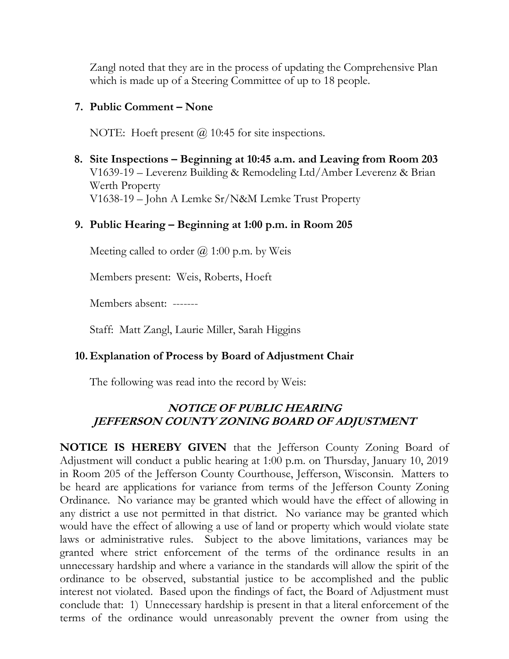Zangl noted that they are in the process of updating the Comprehensive Plan which is made up of a Steering Committee of up to 18 people.

### **7. Public Comment – None**

NOTE: Hoeft present  $\omega$  10:45 for site inspections.

 **8. Site Inspections – Beginning at 10:45 a.m. and Leaving from Room 203** V1639-19 – Leverenz Building & Remodeling Ltd/Amber Leverenz & Brian Werth Property V1638-19 – John A Lemke Sr/N&M Lemke Trust Property

### **9. Public Hearing – Beginning at 1:00 p.m. in Room 205**

Meeting called to order  $(a)$  1:00 p.m. by Weis

Members present: Weis, Roberts, Hoeft

Members absent: -------

Staff: Matt Zangl, Laurie Miller, Sarah Higgins

#### **10. Explanation of Process by Board of Adjustment Chair**

The following was read into the record by Weis:

## **NOTICE OF PUBLIC HEARING JEFFERSON COUNTY ZONING BOARD OF ADJUSTMENT**

**NOTICE IS HEREBY GIVEN** that the Jefferson County Zoning Board of Adjustment will conduct a public hearing at 1:00 p.m. on Thursday, January 10, 2019 in Room 205 of the Jefferson County Courthouse, Jefferson, Wisconsin. Matters to be heard are applications for variance from terms of the Jefferson County Zoning Ordinance. No variance may be granted which would have the effect of allowing in any district a use not permitted in that district. No variance may be granted which would have the effect of allowing a use of land or property which would violate state laws or administrative rules. Subject to the above limitations, variances may be granted where strict enforcement of the terms of the ordinance results in an unnecessary hardship and where a variance in the standards will allow the spirit of the ordinance to be observed, substantial justice to be accomplished and the public interest not violated. Based upon the findings of fact, the Board of Adjustment must conclude that: 1) Unnecessary hardship is present in that a literal enforcement of the terms of the ordinance would unreasonably prevent the owner from using the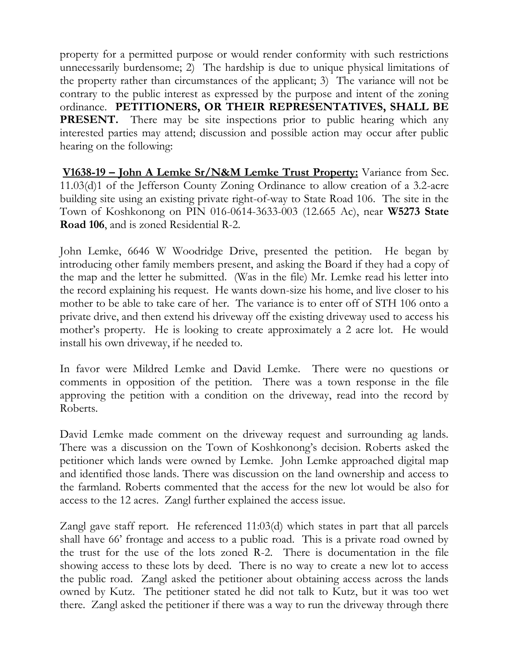property for a permitted purpose or would render conformity with such restrictions unnecessarily burdensome; 2) The hardship is due to unique physical limitations of the property rather than circumstances of the applicant; 3) The variance will not be contrary to the public interest as expressed by the purpose and intent of the zoning ordinance. **PETITIONERS, OR THEIR REPRESENTATIVES, SHALL BE PRESENT.** There may be site inspections prior to public hearing which any interested parties may attend; discussion and possible action may occur after public hearing on the following:

**V1638-19 – John A Lemke Sr/N&M Lemke Trust Property:** Variance from Sec. 11.03(d)1 of the Jefferson County Zoning Ordinance to allow creation of a 3.2-acre building site using an existing private right-of-way to State Road 106. The site in the Town of Koshkonong on PIN 016-0614-3633-003 (12.665 Ac), near **W5273 State Road 106**, and is zoned Residential R-2.

John Lemke, 6646 W Woodridge Drive, presented the petition. He began by introducing other family members present, and asking the Board if they had a copy of the map and the letter he submitted. (Was in the file) Mr. Lemke read his letter into the record explaining his request. He wants down-size his home, and live closer to his mother to be able to take care of her. The variance is to enter off of STH 106 onto a private drive, and then extend his driveway off the existing driveway used to access his mother's property. He is looking to create approximately a 2 acre lot. He would install his own driveway, if he needed to.

In favor were Mildred Lemke and David Lemke. There were no questions or comments in opposition of the petition. There was a town response in the file approving the petition with a condition on the driveway, read into the record by Roberts.

David Lemke made comment on the driveway request and surrounding ag lands. There was a discussion on the Town of Koshkonong's decision. Roberts asked the petitioner which lands were owned by Lemke. John Lemke approached digital map and identified those lands. There was discussion on the land ownership and access to the farmland. Roberts commented that the access for the new lot would be also for access to the 12 acres. Zangl further explained the access issue.

Zangl gave staff report. He referenced 11:03(d) which states in part that all parcels shall have 66' frontage and access to a public road. This is a private road owned by the trust for the use of the lots zoned R-2. There is documentation in the file showing access to these lots by deed. There is no way to create a new lot to access the public road. Zangl asked the petitioner about obtaining access across the lands owned by Kutz. The petitioner stated he did not talk to Kutz, but it was too wet there. Zangl asked the petitioner if there was a way to run the driveway through there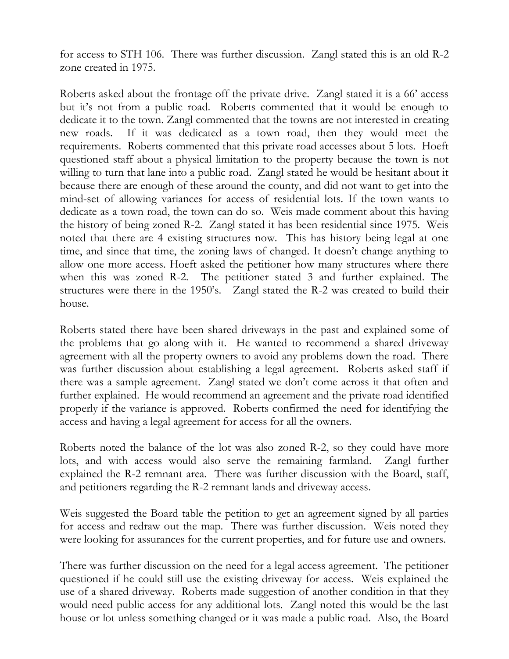for access to STH 106. There was further discussion. Zangl stated this is an old R-2 zone created in 1975.

Roberts asked about the frontage off the private drive. Zangl stated it is a 66' access but it's not from a public road. Roberts commented that it would be enough to dedicate it to the town. Zangl commented that the towns are not interested in creating new roads. If it was dedicated as a town road, then they would meet the requirements. Roberts commented that this private road accesses about 5 lots. Hoeft questioned staff about a physical limitation to the property because the town is not willing to turn that lane into a public road. Zangl stated he would be hesitant about it because there are enough of these around the county, and did not want to get into the mind-set of allowing variances for access of residential lots. If the town wants to dedicate as a town road, the town can do so. Weis made comment about this having the history of being zoned R-2. Zangl stated it has been residential since 1975. Weis noted that there are 4 existing structures now. This has history being legal at one time, and since that time, the zoning laws of changed. It doesn't change anything to allow one more access. Hoeft asked the petitioner how many structures where there when this was zoned R-2. The petitioner stated 3 and further explained. The structures were there in the 1950's. Zangl stated the R-2 was created to build their house.

Roberts stated there have been shared driveways in the past and explained some of the problems that go along with it. He wanted to recommend a shared driveway agreement with all the property owners to avoid any problems down the road. There was further discussion about establishing a legal agreement. Roberts asked staff if there was a sample agreement. Zangl stated we don't come across it that often and further explained. He would recommend an agreement and the private road identified properly if the variance is approved. Roberts confirmed the need for identifying the access and having a legal agreement for access for all the owners.

Roberts noted the balance of the lot was also zoned R-2, so they could have more lots, and with access would also serve the remaining farmland. Zangl further explained the R-2 remnant area. There was further discussion with the Board, staff, and petitioners regarding the R-2 remnant lands and driveway access.

Weis suggested the Board table the petition to get an agreement signed by all parties for access and redraw out the map. There was further discussion. Weis noted they were looking for assurances for the current properties, and for future use and owners.

There was further discussion on the need for a legal access agreement. The petitioner questioned if he could still use the existing driveway for access. Weis explained the use of a shared driveway. Roberts made suggestion of another condition in that they would need public access for any additional lots. Zangl noted this would be the last house or lot unless something changed or it was made a public road. Also, the Board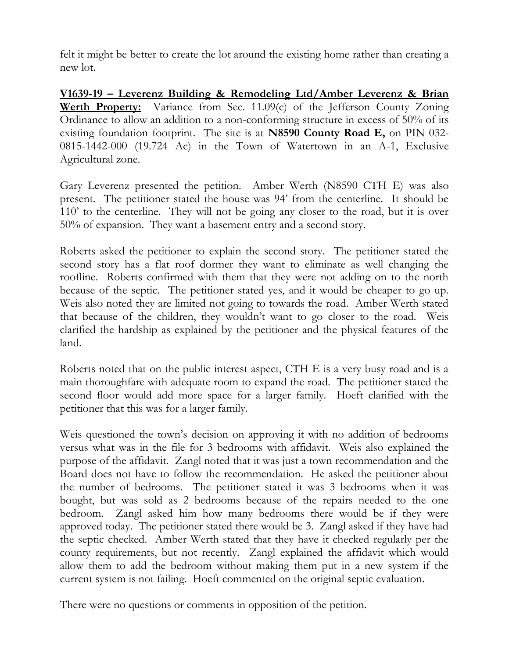felt it might be better to create the lot around the existing home rather than creating a new lot.

**V1639-19 – Leverenz Building & Remodeling Ltd/Amber Leverenz & Brian Werth Property:** Variance from Sec. 11.09(c) of the Jefferson County Zoning Ordinance to allow an addition to a non-conforming structure in excess of 50% of its existing foundation footprint. The site is at **N8590 County Road E,** on PIN 032- 0815-1442-000 (19.724 Ac) in the Town of Watertown in an A-1, Exclusive Agricultural zone.

Gary Leverenz presented the petition. Amber Werth (N8590 CTH E) was also present. The petitioner stated the house was 94' from the centerline. It should be 110' to the centerline. They will not be going any closer to the road, but it is over 50% of expansion. They want a basement entry and a second story.

Roberts asked the petitioner to explain the second story. The petitioner stated the second story has a flat roof dormer they want to eliminate as well changing the roofline. Roberts confirmed with them that they were not adding on to the north because of the septic. The petitioner stated yes, and it would be cheaper to go up. Weis also noted they are limited not going to towards the road. Amber Werth stated that because of the children, they wouldn't want to go closer to the road. Weis clarified the hardship as explained by the petitioner and the physical features of the land.

Roberts noted that on the public interest aspect, CTH E is a very busy road and is a main thoroughfare with adequate room to expand the road. The petitioner stated the second floor would add more space for a larger family. Hoeft clarified with the petitioner that this was for a larger family.

Weis questioned the town's decision on approving it with no addition of bedrooms versus what was in the file for 3 bedrooms with affidavit. Weis also explained the purpose of the affidavit. Zangl noted that it was just a town recommendation and the Board does not have to follow the recommendation. He asked the petitioner about the number of bedrooms. The petitioner stated it was 3 bedrooms when it was bought, but was sold as 2 bedrooms because of the repairs needed to the one bedroom. Zangl asked him how many bedrooms there would be if they were approved today. The petitioner stated there would be 3. Zangl asked if they have had the septic checked. Amber Werth stated that they have it checked regularly per the county requirements, but not recently. Zangl explained the affidavit which would allow them to add the bedroom without making them put in a new system if the current system is not failing. Hoeft commented on the original septic evaluation.

There were no questions or comments in opposition of the petition.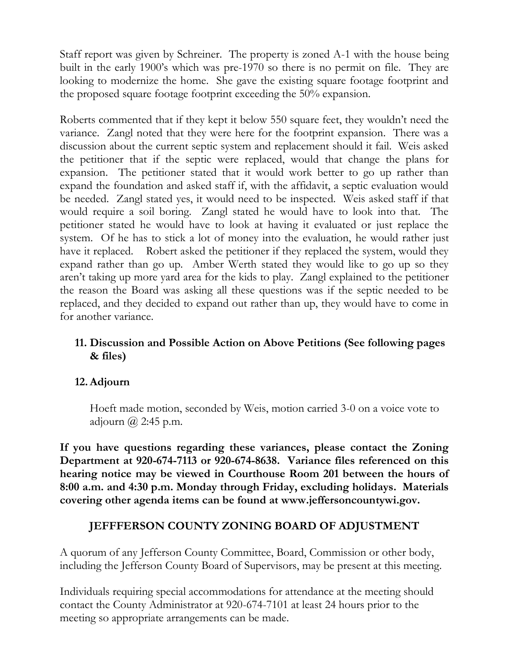Staff report was given by Schreiner. The property is zoned A-1 with the house being built in the early 1900's which was pre-1970 so there is no permit on file. They are looking to modernize the home. She gave the existing square footage footprint and the proposed square footage footprint exceeding the 50% expansion.

Roberts commented that if they kept it below 550 square feet, they wouldn't need the variance. Zangl noted that they were here for the footprint expansion. There was a discussion about the current septic system and replacement should it fail. Weis asked the petitioner that if the septic were replaced, would that change the plans for expansion. The petitioner stated that it would work better to go up rather than expand the foundation and asked staff if, with the affidavit, a septic evaluation would be needed. Zangl stated yes, it would need to be inspected. Weis asked staff if that would require a soil boring. Zangl stated he would have to look into that. The petitioner stated he would have to look at having it evaluated or just replace the system. Of he has to stick a lot of money into the evaluation, he would rather just have it replaced. Robert asked the petitioner if they replaced the system, would they expand rather than go up. Amber Werth stated they would like to go up so they aren't taking up more yard area for the kids to play. Zangl explained to the petitioner the reason the Board was asking all these questions was if the septic needed to be replaced, and they decided to expand out rather than up, they would have to come in for another variance.

# **11. Discussion and Possible Action on Above Petitions (See following pages & files)**

## **12.Adjourn**

Hoeft made motion, seconded by Weis, motion carried 3-0 on a voice vote to adjourn  $\omega$  2:45 p.m.

**If you have questions regarding these variances, please contact the Zoning Department at 920-674-7113 or 920-674-8638. Variance files referenced on this hearing notice may be viewed in Courthouse Room 201 between the hours of 8:00 a.m. and 4:30 p.m. Monday through Friday, excluding holidays. Materials covering other agenda items can be found at www.jeffersoncountywi.gov.**

# **JEFFFERSON COUNTY ZONING BOARD OF ADJUSTMENT**

A quorum of any Jefferson County Committee, Board, Commission or other body, including the Jefferson County Board of Supervisors, may be present at this meeting.

Individuals requiring special accommodations for attendance at the meeting should contact the County Administrator at 920-674-7101 at least 24 hours prior to the meeting so appropriate arrangements can be made.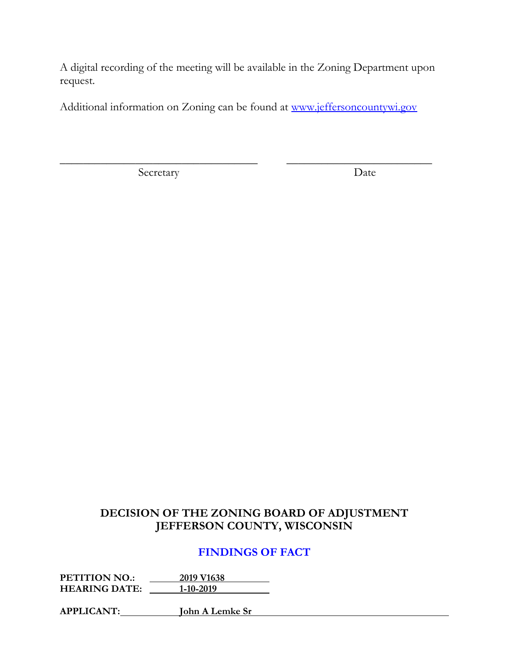A digital recording of the meeting will be available in the Zoning Department upon request.

Additional information on Zoning can be found at [www.jeffersoncountywi.gov](http://www.jeffersoncountywi.gov/)

 $\overline{\phantom{a}}$  , and the contribution of the contribution of  $\overline{\phantom{a}}$  , and  $\overline{\phantom{a}}$  , and  $\overline{\phantom{a}}$  , and  $\overline{\phantom{a}}$  , and  $\overline{\phantom{a}}$  , and  $\overline{\phantom{a}}$  , and  $\overline{\phantom{a}}$  , and  $\overline{\phantom{a}}$  , and  $\overline{\phantom{a}}$  , and

Secretary Date

# **DECISION OF THE ZONING BOARD OF ADJUSTMENT JEFFERSON COUNTY, WISCONSIN**

# **FINDINGS OF FACT**

**PETITION NO.: 2019 V1638 HEARING DATE: 1-10-2019**

**APPLICANT: John A Lemke Sr**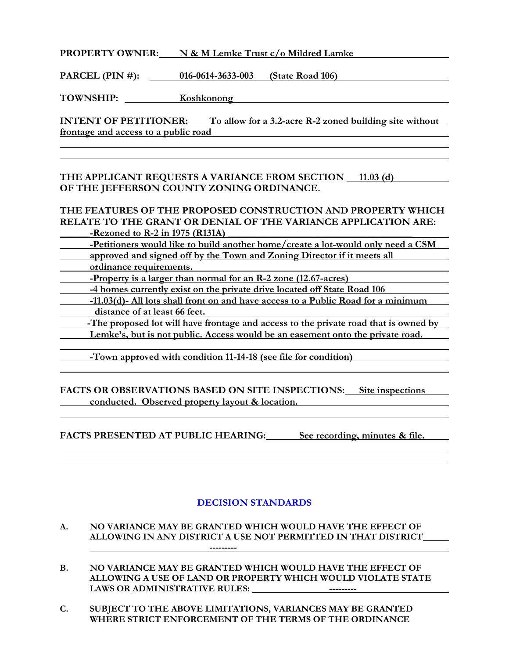**PROPERTY OWNER: N & M Lemke Trust c/o Mildred Lamke**

**PARCEL (PIN #): 016-0614-3633-003 (State Road 106)**

TOWNSHIP: Koshkonong Manual Communication of the Koshkonong Manual Communication of the Koshkonong Manual Communication of the Koshkonong Manual Communication of the Koshkonong Manual Communication of the Koshkonong Manual

**INTENT OF PETITIONER:** To allow for a 3.2-acre R-2 zoned building site without **frontage and access to a public road**

#### **THE APPLICANT REQUESTS A VARIANCE FROM SECTION 11.03 (d) OF THE JEFFERSON COUNTY ZONING ORDINANCE.**

# **THE FEATURES OF THE PROPOSED CONSTRUCTION AND PROPERTY WHICH RELATE TO THE GRANT OR DENIAL OF THE VARIANCE APPLICATION ARE:**

**\_\_Rezoned to R-2 in 1975 (R131A)** 

**-Petitioners would like to build another home/create a lot-would only need a CSM approved and signed off by the Town and Zoning Director if it meets all ordinance requirements.**

 **-Property is a larger than normal for an R-2 zone (12.67-acres)**

**-4 homes currently exist on the private drive located off State Road 106**

**-11.03(d)- All lots shall front on and have access to a Public Road for a minimum distance of at least 66 feet.**

 **-The proposed lot will have frontage and access to the private road that is owned by**  Lemke's, but is not public. Access would be an easement onto the private road.

**-Town approved with condition 11-14-18 (see file for condition)**

### **FACTS OR OBSERVATIONS BASED ON SITE INSPECTIONS: Site inspections conducted. Observed property layout & location.**

**FACTS PRESENTED AT PUBLIC HEARING: See recording, minutes & file.**

## **DECISION STANDARDS**

- **A. NO VARIANCE MAY BE GRANTED WHICH WOULD HAVE THE EFFECT OF ALLOWING IN ANY DISTRICT A USE NOT PERMITTED IN THAT DISTRICT**
- **B. NO VARIANCE MAY BE GRANTED WHICH WOULD HAVE THE EFFECT OF ALLOWING A USE OF LAND OR PROPERTY WHICH WOULD VIOLATE STATE LAWS OR ADMINISTRATIVE RULES: ---------**

**---------**

**C. SUBJECT TO THE ABOVE LIMITATIONS, VARIANCES MAY BE GRANTED WHERE STRICT ENFORCEMENT OF THE TERMS OF THE ORDINANCE**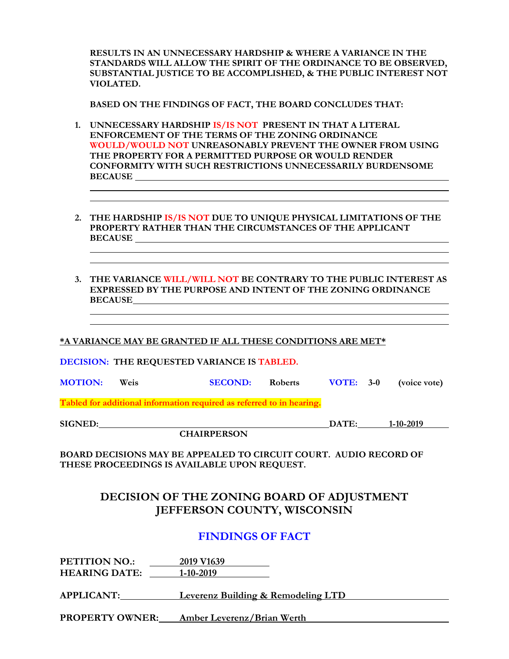**RESULTS IN AN UNNECESSARY HARDSHIP & WHERE A VARIANCE IN THE STANDARDS WILL ALLOW THE SPIRIT OF THE ORDINANCE TO BE OBSERVED, SUBSTANTIAL JUSTICE TO BE ACCOMPLISHED, & THE PUBLIC INTEREST NOT VIOLATED.**

**BASED ON THE FINDINGS OF FACT, THE BOARD CONCLUDES THAT:**

- **1. UNNECESSARY HARDSHIP IS/IS NOT PRESENT IN THAT A LITERAL ENFORCEMENT OF THE TERMS OF THE ZONING ORDINANCE WOULD/WOULD NOT UNREASONABLY PREVENT THE OWNER FROM USING THE PROPERTY FOR A PERMITTED PURPOSE OR WOULD RENDER CONFORMITY WITH SUCH RESTRICTIONS UNNECESSARILY BURDENSOME BECAUSE**
- **2. THE HARDSHIP IS/IS NOT DUE TO UNIQUE PHYSICAL LIMITATIONS OF THE PROPERTY RATHER THAN THE CIRCUMSTANCES OF THE APPLICANT BECAUSE**
- **3. THE VARIANCE WILL/WILL NOT BE CONTRARY TO THE PUBLIC INTEREST AS EXPRESSED BY THE PURPOSE AND INTENT OF THE ZONING ORDINANCE BECAUSE**

**\*A VARIANCE MAY BE GRANTED IF ALL THESE CONDITIONS ARE MET\***

**DECISION: THE REQUESTED VARIANCE IS TABLED.**

**MOTION: Weis SECOND: Roberts VOTE: 3-0 (voice vote)**

**Tabled for additional information required as referred to in hearing.**

**SIGNED: DATE: 1-10-2019**

**CHAIRPERSON**

**BOARD DECISIONS MAY BE APPEALED TO CIRCUIT COURT. AUDIO RECORD OF THESE PROCEEDINGS IS AVAILABLE UPON REQUEST.**

## **DECISION OF THE ZONING BOARD OF ADJUSTMENT JEFFERSON COUNTY, WISCONSIN**

## **FINDINGS OF FACT**

**PETITION NO.: 2019 V1639 HEARING DATE: 1-10-2019**

**APPLICANT: Leverenz Building & Remodeling LTD**

**PROPERTY OWNER: Amber Leverenz/Brian Werth**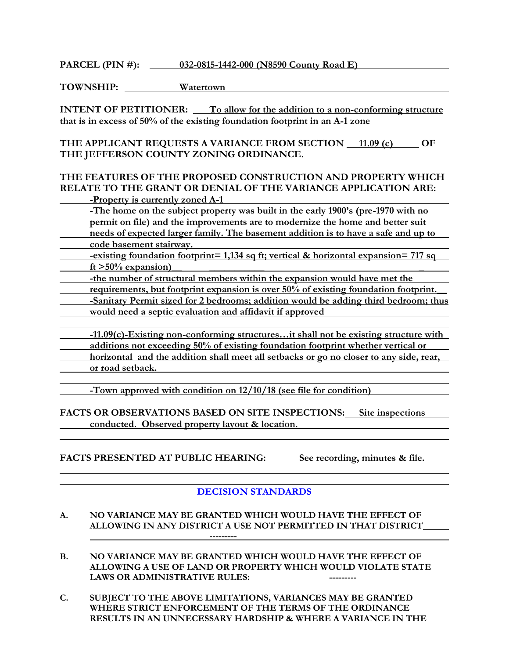**PARCEL (PIN #): 032-0815-1442-000 (N8590 County Road E)**

**TOWNSHIP: Watertown**

**INTENT OF PETITIONER:** To allow for the addition to a non-conforming structure **that is in excess of 50% of the existing foundation footprint in an A-1 zone**

THE APPLICANT REQUESTS A VARIANCE FROM SECTION 11.09 (c) OF **THE JEFFERSON COUNTY ZONING ORDINANCE.**

#### **THE FEATURES OF THE PROPOSED CONSTRUCTION AND PROPERTY WHICH RELATE TO THE GRANT OR DENIAL OF THE VARIANCE APPLICATION ARE: -Property is currently zoned A-1**

**-The home on the subject property was built in the early 1900's (pre-1970 with no**

**permit on file)** and the improvements are to modernize the home and better suit

**needs of expected larger family. The basement addition is to have a safe and up to code basement stairway.**

**-existing foundation footprint= 1,134 sq ft; vertical & horizontal expansion= 717 sq ft >50% expansion)\_\_ \_\_\_\_\_\_\_\_\_\_\_ \_**

- **-the number of structural members within the expansion would have met the**
- **requirements, but footprint expansion is over 50% of existing foundation footprint.\_\_**
- **-Sanitary Permit sized for 2 bedrooms; addition would be adding third bedroom; thus would need a septic evaluation and affidavit if approved**

**-11.09(c)-Existing non-conforming structures…it shall not be existing structure with additions not exceeding 50% of existing foundation footprint whether vertical or horizontal and the addition shall meet all setbacks or go no closer to any side, rear, or road setback.**

**-Town approved with condition on 12/10/18 (see file for condition)**

**FACTS OR OBSERVATIONS BASED ON SITE INSPECTIONS: Site inspections conducted. Observed property layout & location.**

**FACTS PRESENTED AT PUBLIC HEARING: See recording, minutes & file.**

## **DECISION STANDARDS**

- **A. NO VARIANCE MAY BE GRANTED WHICH WOULD HAVE THE EFFECT OF ALLOWING IN ANY DISTRICT A USE NOT PERMITTED IN THAT DISTRICT ---------**
- **B. NO VARIANCE MAY BE GRANTED WHICH WOULD HAVE THE EFFECT OF ALLOWING A USE OF LAND OR PROPERTY WHICH WOULD VIOLATE STATE LAWS OR ADMINISTRATIVE RULES: ---------**
- **C. SUBJECT TO THE ABOVE LIMITATIONS, VARIANCES MAY BE GRANTED WHERE STRICT ENFORCEMENT OF THE TERMS OF THE ORDINANCE RESULTS IN AN UNNECESSARY HARDSHIP & WHERE A VARIANCE IN THE**